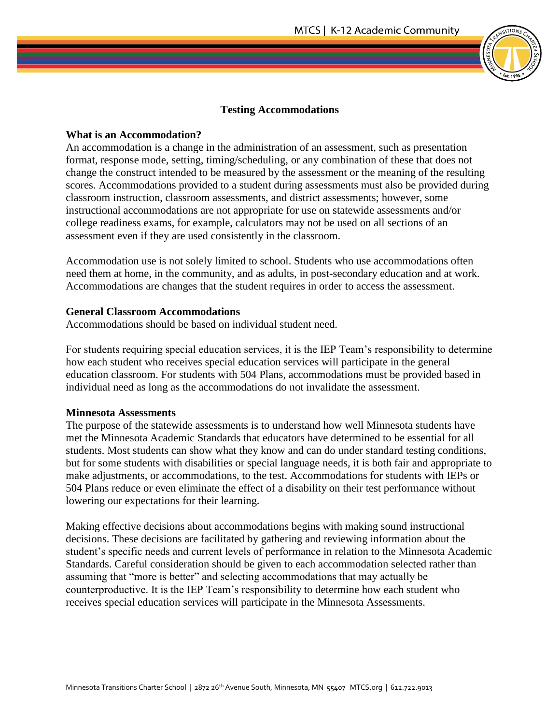## **Testing Accommodations**

### **What is an Accommodation?**

An accommodation is a change in the administration of an assessment, such as presentation format, response mode, setting, timing/scheduling, or any combination of these that does not change the construct intended to be measured by the assessment or the meaning of the resulting scores. Accommodations provided to a student during assessments must also be provided during classroom instruction, classroom assessments, and district assessments; however, some instructional accommodations are not appropriate for use on statewide assessments and/or college readiness exams, for example, calculators may not be used on all sections of an assessment even if they are used consistently in the classroom.

Accommodation use is not solely limited to school. Students who use accommodations often need them at home, in the community, and as adults, in post-secondary education and at work. Accommodations are changes that the student requires in order to access the assessment.

#### **General Classroom Accommodations**

Accommodations should be based on individual student need.

For students requiring special education services, it is the IEP Team's responsibility to determine how each student who receives special education services will participate in the general education classroom. For students with 504 Plans, accommodations must be provided based in individual need as long as the accommodations do not invalidate the assessment.

#### **Minnesota Assessments**

The purpose of the statewide assessments is to understand how well Minnesota students have met the Minnesota Academic Standards that educators have determined to be essential for all students. Most students can show what they know and can do under standard testing conditions, but for some students with disabilities or special language needs, it is both fair and appropriate to make adjustments, or accommodations, to the test. Accommodations for students with IEPs or 504 Plans reduce or even eliminate the effect of a disability on their test performance without lowering our expectations for their learning.

Making effective decisions about accommodations begins with making sound instructional decisions. These decisions are facilitated by gathering and reviewing information about the student's specific needs and current levels of performance in relation to the Minnesota Academic Standards. Careful consideration should be given to each accommodation selected rather than assuming that "more is better" and selecting accommodations that may actually be counterproductive. It is the IEP Team's responsibility to determine how each student who receives special education services will participate in the Minnesota Assessments.